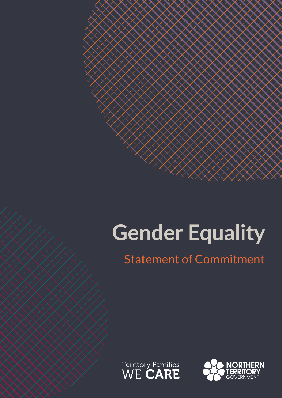# **Gender Equality**

# Statement of Commitment



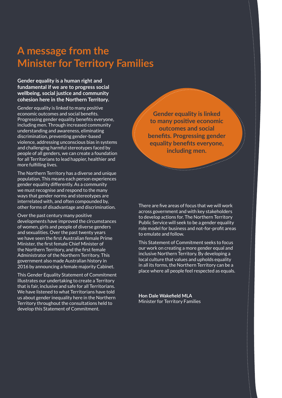# **A message from the Minister for Territory Families**

#### **Gender equality is a human right and fundamental if we are to progress social wellbeing, social justice and community cohesion here in the Northern Territory.**

Gender equality is linked to many positive economic outcomes and social benefits. Progressing gender equality benefits everyone, including men. Through increased community understanding and awareness, eliminating discrimination, preventing gender-based violence, addressing unconscious bias in systems and challenging harmful stereotypes faced by people of all genders, we can create a foundation for all Territorians to lead happier, healthier and more fulfilling lives.

The Northern Territory has a diverse and unique population. This means each person experiences gender equality differently. As a community we must recognise and respond to the many ways that gender norms and stereotypes are interrelated with, and often compounded by, other forms of disadvantage and discrimination.

Over the past century many positive developments have improved the circumstances of women, girls and people of diverse genders and sexualities. Over the past twenty years we have seen the first Australian female Prime Minister, the first female Chief Minister of the Northern Territory, and the first female Administrator of the Northern Territory. This government also made Australian history in 2016 by announcing a female majority Cabinet.

This Gender Equality Statement of Commitment illustrates our undertaking to create a Territory that is fair, inclusive and safe for all Territorians. We have listened to what Territorians have told us about gender inequality here in the Northern Territory throughout the consultations held to develop this Statement of Commitment.

**Gender equality is linked to many positive economic outcomes and social benefits. Progressing gender equality benefits everyone, including men.** 

There are five areas of focus that we will work across government and with key stakeholders to develop actions for. The Northern Territory Public Service will seek to be a gender equality role model for business and not-for-profit areas to emulate and follow.

This Statement of Commitment seeks to focus our work on creating a more gender equal and inclusive Northern Territory. By developing a local culture that values and upholds equality in all its forms, the Northern Territory can be a place where all people feel respected as equals.

**Hon Dale Wakefield MLA** Minister for Territory Families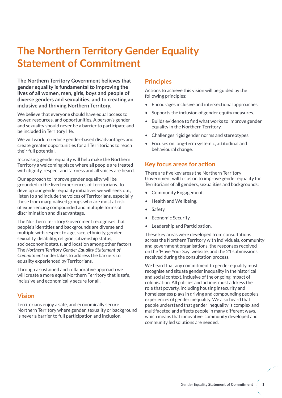# **The Northern Territory Gender Equality Statement of Commitment**

**The Northern Territory Government believes that gender equality is fundamental to improving the lives of all women, men, girls, boys and people of diverse genders and sexualities, and to creating an inclusive and thriving Northern Territory.** 

We believe that everyone should have equal access to power, resources, and opportunities. A person's gender and sexuality should never be a barrier to participate and be included in Territory life.

We will work to reduce gender-based disadvantages and create greater opportunities for all Territorians to reach their full potential.

Increasing gender equality will help make the Northern Territory a welcoming place where all people are treated with dignity, respect and fairness and all voices are heard.

Our approach to improve gender equality will be grounded in the lived experiences of Territorians. To develop our gender equality initiatives we will seek out, listen to and include the voices of Territorians, especially those from marginalised groups who are most at risk of experiencing compounded and multiple forms of discrimination and disadvantage.

The Northern Territory Government recognises that people's identities and backgrounds are diverse and multiple with respect to age, race, ethnicity, gender, sexuality, disability, religion, citizenship status, socioeconomic status, and location among other factors. The *Northern Territory Gender Equality Statement of Commitment* undertakes to address the barriers to equality experienced by Territorians.

Through a sustained and collaborative approach we will create a more equal Northern Territory that is safe, inclusive and economically secure for all.

#### **Vision**

Territorians enjoy a safe, and economically secure Northern Territory where gender, sexuality or background is never a barrier to full participation and inclusion.

#### **Principles**

Actions to achieve this vision will be guided by the following principles:

- Encourages inclusive and intersectional approaches.
- Supports the inclusion of gender equity measures.
- Builds evidence to find what works to improve gender equality in the Northern Territory.
- Challenges rigid gender norms and stereotypes.
- Focuses on long-term systemic, attitudinal and behavioural change.

#### **Key focus areas for action**

There are five key areas the Northern Territory Government will focus on to improve gender equality for Territorians of all genders, sexualities and backgrounds:

- Community Engagement.
- Health and Wellbeing.
- Safety.
- **Economic Security.**
- Leadership and Participation.

These key areas were developed from consultations across the Northern Territory with individuals, community and government organisations, the responses received on the 'Have Your Say' website, and the 21 submissions received during the consultation process.

We heard that any commitment to gender equality must recognise and situate gender inequality in the historical and social context, inclusive of the ongoing impact of colonisation. All policies and actions must address the role that poverty, including housing insecurity and homelessness plays in driving and compounding people's experiences of gender inequality. We also heard that people understand that gender inequality is complex and multifaceted and affects people in many different ways, which means that innovative, community developed and community led solutions are needed.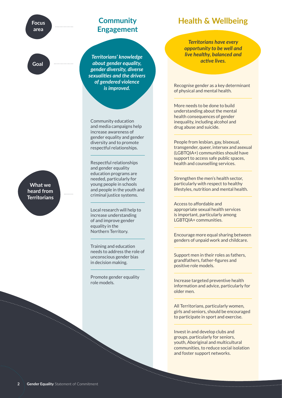**Focus area** 

**Goal**

### **Community Engagement**

*Territorians' knowledge about gender equality, gender diversity, diverse sexualities and the drivers of gendered violence is improved.*

Community education and media campaigns help increase awareness of gender equality and gender diversity and to promote respectful relationships.

Respectful relationships and gender equality education programs are needed, particularly for young people in schools and people in the youth and criminal justice systems.

Local research will help to increase understanding of and improve gender equality in the Northern Territory.

Training and education needs to address the role of unconscious gender bias in decision making.

Promote gender equality role models.

## **Health & Wellbeing**

*Territorians have every opportunity to be well and live healthy, balanced and active lives.*

Recognise gender as a key determinant of physical and mental health.

More needs to be done to build understanding about the mental health consequences of gender inequality, including alcohol and drug abuse and suicide.

People from lesbian, gay, bisexual, transgender, queer, intersex and asexual (LGBTQIA+) communities should have support to access safe public spaces, health and counselling services.

Strengthen the men's health sector, particularly with respect to healthy lifestyles, nutrition and mental health.

Access to affordable and appropriate sexual health services is important, particularly among LGBTQIA+ communities.

Encourage more equal sharing between genders of unpaid work and childcare.

Support men in their roles as fathers, grandfathers, father-figures and positive role models.

Increase targeted preventive health information and advice, particularly for older men.

All Territorians, particularly women, girls and seniors, should be encouraged to participate in sport and exercise.

Invest in and develop clubs and groups, particularly for seniors, youth, Aboriginal and multicultural communities, to reduce social isolation and foster support networks.

**What we heard from Territorians**

. . . . . . .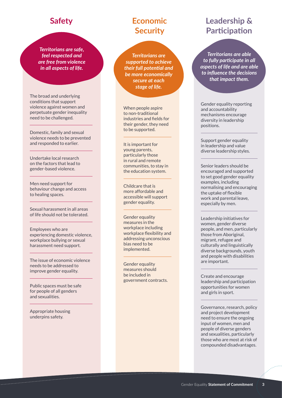### **Safety**

*Territorians are safe, feel respected and are free from violence in all aspects of life.*

The broad and underlying conditions that support violence against women and perpetuate gender inequality need to be challenged.

Domestic, family and sexual violence needs to be prevented and responded to earlier.

Undertake local research on the factors that lead to gender-based violence.

Men need support for behaviour change and access to healing spaces.

Sexual harassment in all areas of life should not be tolerated.

Employees who are experiencing domestic violence, workplace bullying or sexual harassment need support.

The issue of economic violence needs to be addressed to improve gender equality.

Public spaces must be safe for people of all genders and sexualities.

Appropriate housing underpins safety.

# **Economic Security**

*Territorians are supported to achieve their full potential and be more economically secure at each stage of life.*

When people aspire to non-traditional industries and fields for their gender, they need to be supported.

It is important for young parents, particularly those in rural and remote communities, to stay in the education system.

Childcare that is more affordable and accessible will support gender equality.

Gender equality measures in the workplace including workplace flexibility and addressing unconscious bias need to be implemented.

Gender equality measures should be included in government contracts.

# **Leadership & Participation**

*Territorians are able to fully participate in all aspects of life and are able to influence the decisions that impact them.* 

Gender equality reporting and accountability mechanisms encourage diversity in leadership positions.

Support gender equality in leadership and value diverse leadership styles.

Senior leaders should be encouraged and supported to set good gender equality examples, including normalising and encouraging the uptake of flexible work and parental leave, especially by men.

Leadership initiatives for women, gender diverse people, and men, particularly those from Aboriginal, migrant, refugee and culturally and linguistically diverse backgrounds, youth and people with disabilities are important.

Create and encourage leadership and participation opportunities for women and girls in sport.

Governance, research, policy and project development need to ensure the ongoing input of women, men and people of diverse genders and sexualities, particularly those who are most at risk of compounded disadvantages.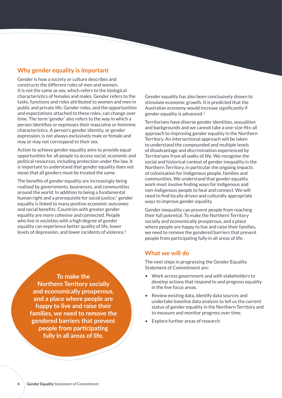#### **Why gender equality is important**

Gender is how a society or culture describes and constructs the different roles of men and women. It is not the same as sex, which refers to the biological characteristics of females and males. Gender refers to the tasks, functions and roles attributed to women and men in public and private life. Gender roles, and the opportunities and expectations attached to these roles, can change over time. The term 'gender' also refers to the way in which a person identifies or expresses their masculine or feminine characteristics. A person's gender identity, or gender expression, is not always exclusively male or female and may or may not correspond to their sex.

*<u>Protection</u>* 

Action to achieve gender equality aims to provide equal opportunities for all people to access social, economic and political resources, including protection under the law. It is important to understand that gender equality does not mean that all genders must be treated the same.

The benefits of gender equality are increasingly being realised by governments, businesses, and communities around the world. In addition to being a fundamental human right and a prerequisite for social justice,<sup>1</sup> gender equality is linked to many positive economic outcomes and social benefits. Countries with greater gender equality are more cohesive and connected. People who live in societies with a high degree of gender equality can experience better quality of life, lower levels of depression, and lower incidents of violence.<sup>2</sup>

> **To make the Northern Territory socially and economically prosperous, and a place where people are happy to live and raise their families, we need to remove the gendered barriers that prevent people from participating fully in all areas of life.**

Gender equality has also been conclusively shown to stimulate economic growth. It is predicted that the Australian economy would increase significantly if gender equality is advanced.<sup>3</sup>

Territorians have diverse gender identities, sexualities and backgrounds and we cannot take a one-size-fits-all approach to improving gender equality in the Northern Territory. An intersectional approach will be taken to understand the compounded and multiple levels of disadvantage and discrimination experienced by Territorians from all walks of life. We recognise the social and historical context of gender inequality in the Northern Territory, in particular the ongoing impacts of colonisation for Indigenous people, families and communities. We understand that gender equality work must involve finding ways for Indigenous and non-Indigenous people to heal and connect. We will need to find locally driven and culturally appropriate ways to improve gender equality.

Gender inequality can prevent people from reaching their full potential. To make the Northern Territory socially and economically prosperous, and a place where people are happy to live and raise their families, we need to remove the gendered barriers that prevent people from participating fully in all areas of life.

#### **What we will do**

The next steps in progressing the Gender Equality Statement of Commitment are:

- Work across government and with stakeholders to develop actions that respond to and progress equality in the five focus areas.
- Review existing data, identify data sources and undertake baseline data analysis to tell us the current status of gender equality in the Northern Territory and to measure and monitor progress over time.
- Explore further areas of research.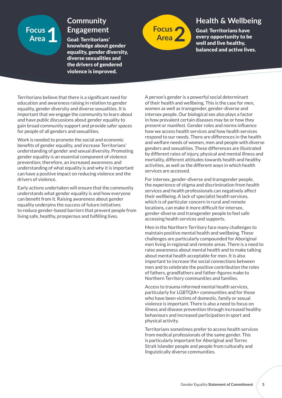# **Focus**

# **Community**

Goal: Territorians' knowledge about gender equality, gender diversity, diverse sexualities and the drivers of gendered violence is improved.



# **Health & Wellbeing**

Goal: Territorians have every opportunity to be well and live healthy, balanced and active lives.

Territorians believe that there is a significant need for education and awareness raising in relation to gender equality, gender diversity and diverse sexualities. It is important that we engage the community to learn about and have public discussions about gender equality to gain broad community support and provide safer spaces for people of all genders and sexualities.

Work is needed to promote the social and economic benefits of gender equality, and increase Territorians' understanding of gender and sexual diversity. Promoting gender equality is an essential component of violence prevention; therefore, an increased awareness and understanding of what equality is and why it is important can have a positive impact on reducing violence and the drivers of violence.

Early actions undertaken will ensure that the community understands what gender equality is and how everyone can benefit from it. Raising awareness about gender equality underpins the success of future initiatives to reduce gender-based barriers that prevent people from living safe, healthy, prosperous and fulfilling lives.

A person's gender is a powerful social determinant of their health and wellbeing. This is the case for men, women as well as transgender, gender-diverse and intersex people. Our biological sex also plays a factor in how prevalent certain diseases may be or how they present or manifest. Gender roles and norms influence how we access health services and how health services respond to our needs. There are differences in the health and welfare needs of women, men and people with diverse genders and sexualities. These differences are illustrated by different rates of injury, physical and mental illness and mortality, different attitudes towards health and healthy activities, as well as the different ways in which health services are accessed.

For intersex, gender-diverse and transgender people, the experience of stigma and discrimination from health services and health professionals can negatively affect their wellbeing. A lack of specialist health services, which is of particular concern in rural and remote locations, can make it more difficult for intersex, gender-diverse and transgender people to feel safe accessing health services and supports.

Men in the Northern Territory face many challenges to maintain positive mental health and wellbeing. These challenges are particularly compounded for Aboriginal men living in regional and remote areas. There is a need to raise awareness about mental health and to make talking about mental health acceptable for men. It is also important to increase the social connections between men and to celebrate the positive contribution the roles of fathers, grandfathers and father-figures make to Northern Territory communities and families.

Access to trauma informed mental health services, particularly for LGBTQIA+ communities and for those who have been victims of domestic, family or sexual violence is important. There is also a need to focus on illness and disease prevention through increased healthy behaviours and increased participation in sport and physical activity.

Territorians sometimes prefer to access health services from medical professionals of the same gender. This is particularly important for Aboriginal and Torres Strait Islander people and people from culturally and linguistically diverse communities.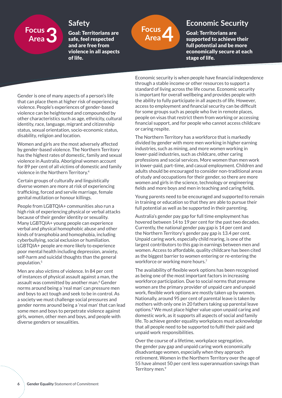# **Focus**

### **Safety**

Goal: Territorians are safe, feel respected and are free from violence in all aspects of life.



# **Economic Security**

Goal: Territorians are supported to achieve their full potential and be more economically secure at each stage of life.

Gender is one of many aspects of a person's life that can place them at higher risk of experiencing violence. People's experiences of gender-based violence can be heightened and compounded by other characteristics such as age, ethnicity, cultural identity, race, language, migrant and citizenship status, sexual orientation, socio-economic status, disability, religion and location.

Women and girls are the most adversely affected by gender-based violence. The Northern Territory has the highest rates of domestic, family and sexual violence in Australia. Aboriginal women account for 89 per cent of all victims of domestic and family violence in the Northern Territory.<sup>4</sup>

Certain groups of culturally and linguistically diverse women are more at risk of experiencing trafficking, forced and servile marriage, female genital mutilation or honour killings.

People from LGBTQIA+ communities also run a high risk of experiencing physical or verbal attacks because of their gender identity or sexuality. Many LGBTQIA+ young people can experience verbal and physical homophobic abuse and other kinds of transphobia and homophobia, including cyberbullying, social exclusion or humiliation. LGBTQIA+ people are more likely to experience poor mental health including depression, anxiety, self-harm and suicidal thoughts than the general population.<sup>5</sup>

Men are also victims of violence. In 84 per cent of instances of physical assault against a man, the assault was committed by another man.<sup>6</sup> Gender norms around being a 'real man' can pressure men and boys to act tough and seek to be in control. As a society we must challenge social pressures and gender norms around being a 'real man' that can lead some men and boys to perpetrate violence against girls, women, other men and boys, and people with diverse genders or sexualities.

Economic security is when people have financial independence through a stable income or other resources to support a standard of living across the life course. Economic security is important for overall wellbeing and provides people with the ability to fully participate in all aspects of life. However, access to employment and financial security can be difficult for some groups such as people who live in remote places, people on visas that restrict them from working or accessing financial support, and for people who cannot access childcare or caring respite.

The Northern Territory has a workforce that is markedly divided by gender with more men working in higher earning industries, such as mining, and more women working in lower-paid industries, such as childcare, other caring professions and social services. More women than men work in lower-paid, part-time, and casual employment. Children and adults should be encouraged to consider non-traditional areas of study and occupations for their gender, so there are more women and girls in the science, technology or engineering fields and more boys and men in teaching and caring fields.

Young parents need to be encouraged and supported to remain in training or education so that they are able to pursue their full potential as well as be supported in their parenting.

Australia's gender pay gap for full time employment has hovered between 14 to 19 per cent for the past two decades. Currently, the national gender pay gap is 14 per cent and the Northern Territory's gender pay gap is 13.4 per cent. Unpaid caring work, especially child rearing, is one of the largest contributors to this gap in earnings between men and women. Access to affordable, quality childcare has been cited as the biggest barrier to women entering or re-entering the workforce or working more hours.<sup>7</sup>

The availability of flexible work options has been recognised as being one of the most important factors in increasing workforce participation. Due to social norms that presume women are the primary provider of unpaid care and unpaid work, flexible work options are mostly taken up by women. Nationally, around 95 per cent of parental leave is taken by mothers with only one in 20 fathers taking up parental leave options.8 We must place higher value upon unpaid caring and domestic work, as it supports all aspects of social and family life. To achieve gender equality workplaces must acknowledge that all people need to be supported to fulfil their paid and unpaid work responsibilities.

Over the course of a lifetime, workplace segregation, the gender pay gap and unpaid caring work economically disadvantage women, especially when they approach retirement. Women in the Northern Territory over the age of 55 have almost 50 per cent less superannuation savings than Territory men.<sup>9</sup>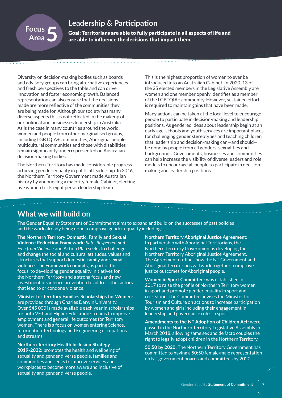### **Leadership & Participation**

Goal: Territorians are able to fully participate in all aspects of life and are able to influence the decisions that impact them.

Diversity on decision-making bodies such as boards and advisory groups can bring alternative experiences and fresh perspectives to the table and can drive innovation and foster economic growth. Balanced representation can also ensure that the decisions made are more reflective of the communities they are being made for. Although our society has many diverse aspects this is not reflected in the makeup of our political and businesses leadership in Australia. As is the case in many countries around the world, women and people from other marginalised groups, including LGBTQIA+ communities, Aboriginal people, multicultural communities and those with disabilities remain significantly underrepresented on Australian decision-making bodies.

The Northern Territory has made considerable progress achieving gender equality in political leadership. In 2016, the Northern Territory Government made Australian history by announcing a majority female Cabinet, electing five women to its eight person leadership team.

This is the highest proportion of women to ever be introduced into an Australian Cabinet. In 2020, 13 of the 25 elected members in the Legislative Assembly are women and one member openly identifies as a member of the LGBTQIA+ community. However, sustained effort is required to maintain gains that have been made.

Many actions can be taken at the local level to encourage people to participate in decision-making and leadership positions. As gendered ideas about leadership begin at an early age, schools and youth services are important places for challenging gender stereotypes and teaching children that leadership and decision-making can—and should be done by people from all genders, sexualities and backgrounds. Governments, businesses and communities can help increase the visibility of diverse leaders and role models to encourage all people to participate in decision making and leadership positions.

## **What we will build on**

Focus<br>Area 5

The Gender Equality Statement of Commitment aims to expand and build on the successes of past policies and the work already being done to improve gender equality including:

**The Northern Territory Domestic, Family and Sexual Violence Reduction Framework:** *Safe, Respected and Free from Violence* and Action Plan seeks to challenge and change the social and cultural attitudes, values and structures that support domestic, family and sexual violence. The Framework commits, as part of this focus, to developing gender equality initiatives for the Northern Territory and a strong focus and new investment in violence prevention to address the factors that lead to or condone violence.

**Minister for Territory Families Scholarships for Women:**  are provided through Charles Darwin University. Over \$45 000 is made available each year in scholarships for both VET and Higher Education streams to improve employment and general life outcomes for Territory women. There is a focus on women entering Science, Information Technology and Engineering occupations and streams.

**Northern Territory Health Inclusion Strategy 2019-2022:** promotes the health and wellbeing of sexuality and gender diverse people, families and communities and seeks to improve services and workplaces to become more aware and inclusive of sexuality and gender diverse people.

**Northern Territory Aboriginal Justice Agreement:**  In partnership with Aboriginal Territorians, the Northern Territory Government is developing the Northern Territory Aboriginal Justice Agreement. The Agreement outlines how the NT Government and Aboriginal Territorians will work together to improve justice outcomes for Aboriginal people.

**Women in Sport Committee:** was established in 2017 to raise the profile of Northern Territory women in sport and promote gender equality in sport and recreation. The Committee advises the Minister for Tourism and Culture on actions to increase participation by women and girls including their engagement in leadership and governance roles in sport.

**Amendments to the NT Adoption of Children Act:** were passed in the Northern Territory Legislative Assembly in March 2018, allowing same sex and de facto couples the right to legally adopt children in the Northern Territory.

**50:50 by 2020:** The Northern Territory Government has committed to having a 50:50 female/male representation on NT government boards and committees by 2020.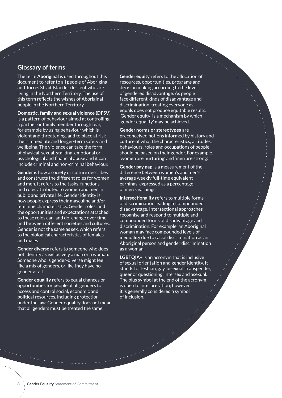#### **Glossary of terms**

Service Service Service Service

The term **Aboriginal** is used throughout this document to refer to all people of Aboriginal and Torres Strait Islander descent who are living in the Northern Territory. The use of this term reflects the wishes of Aboriginal people in the Northern Territory.

**Domestic, family and sexual violence (DFSV)** is a pattern of behaviour aimed at controlling a partner or family member through fear, for example by using behaviour which is violent and threatening, and to place at risk their immediate and longer-term safety and wellbeing. The violence can take the form of physical, sexual, stalking, emotional or psychological and financial abuse and it can include criminal and non-criminal behaviour.

**Gender** is how a society or culture describes and constructs the different roles for women and men. It refers to the tasks, functions and roles attributed to women and men in public and private life. Gender identity is how people express their masculine and/or feminine characteristics. Gender roles, and the opportunities and expectations attached to these roles can, and do, change over time and between different societies and cultures. Gender is not the same as sex, which refers to the biological characteristics of females and males.

**Gender diverse** refers to someone who does not identify as exclusively a man or a woman. Someone who is gender-diverse might feel like a mix of genders, or like they have no gender at all.

**Gender equality** refers to equal chances or opportunities for people of all genders to access and control social, economic and political resources, including protection under the law. Gender equality does not mean that all genders must be treated the same.

**Gender equity** refers to the allocation of resources, opportunities, programs and decision making according to the level of gendered disadvantage. As people face different kinds of disadvantage and discrimination, treating everyone as equals does not produce equitable results. 'Gender equity' is a mechanism by which 'gender equality' may be achieved.

**Gender norms or stereotypes** are preconceived notions informed by history and culture of what the characteristics, attitudes, behaviours, roles and occupations of people should be based on their gender. For example, 'women are nurturing' and 'men are strong.'

**Gender pay gap** is a measurement of the difference between women's and men's average weekly full-time equivalent earnings, expressed as a percentage of men's earnings.

**Intersectionality** refers to multiple forms of discrimination leading to compounded disadvantage. Intersectional approaches recognise and respond to multiple and compounded forms of disadvantage and discrimination. For example, an Aboriginal woman may face compounded levels of inequality due to racial discrimination as an Aboriginal person and gender discrimination as a woman.

**LGBTQIA+** is an acronym that is inclusive of sexual orientation and gender identity. It stands for lesbian, gay, bisexual, transgender, queer or questioning, intersex and asexual. The plus symbol at the end of the acronym is open to interpretation; however, it is generally considered a symbol of inclusion.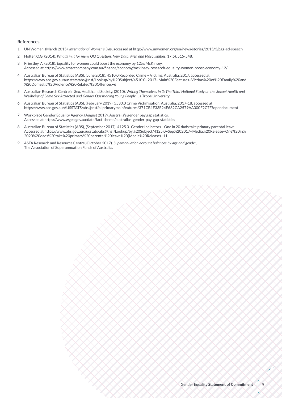#### **References**

- 1 UN Women, (March 2015). *International Women's Day,* accessed at http://www.unwomen.org/en/news/stories/2015/3/pga-ed-speech
- 2 Holter, O.G. (2014). *What's in it for men? Old Question, New Data. Men and Masculinities,* 17(5), 515-548.
- 3 Priestley, A. (2018). Equality for women could boost the economy by 12%: McKinsey. Accessed at https://www.smartcompany.com.au/finance/economy/mckinsey-research-equality-women-boost-economy-12/
- 4 Australian Bureau of Statistics (ABS), (June 2018). 4510.0 Recorded Crime Victims, Australia, 2017, accessed at [https://www.abs.gov.au/ausstats/abs@.nsf/Lookup/by%20Subject/4510.0~2017~Main%20Features~Victims%20of%20Family%20and](https://www.abs.gov.au/ausstats/abs@.nsf/Lookup/by%20Subject/4510.0~2017~Main%20Features~Victims%20of%20Family%20and
%20Domestic%20Violence%20Related%20Offences~6) [%20Domestic%20Violence%20Related%20Offences~6](https://www.abs.gov.au/ausstats/abs@.nsf/Lookup/by%20Subject/4510.0~2017~Main%20Features~Victims%20of%20Family%20and
%20Domestic%20Violence%20Related%20Offences~6)
- 5 Australian Research Centre in Sex, Health and Society, (2010). *Writing Themselves in 3: The Third National Study on the Sexual Health and Wellbeing of Same Sex Attracted and Gender Questioning Young People.* La Trobe University.
- 6 Australian Bureau of Statistics (ABS), (February 2019). 5530.0 Crime Victimisation, Australia, 2017-18, accessed at https://www.abs.gov.au/AUSSTATS/abs@.nsf/allprimarymainfeatures/371CB1F33E24E682CA2579AA000F2C7F?opendocument
- 7 Workplace Gender Equality Agency, (August 2019). Australia's gender pay gap statistics. Accessed at https://www.wgea.gov.au/data/fact-sheets/australias-gender-pay-gap-statistics
- 8 Australian Bureau of Statistics (ABS), (September 2017). 4125.0- Gender Indicators—One in 20 dads take primary parental leave. Accessed at [https://www.abs.gov.au/ausstats/abs@.nsf/Lookup/by%20Subject/4125.0~Sep%202017~Media%20Release~One%20in%](https://www.abs.gov.au/ausstats/abs@.nsf/Lookup/by%20Subject/4125.0~Sep%202017~Media%20Release~One%20in%
2020%20dads%20take%20primary%20parental%20leave%20(Media%20Release)~11) [2020%20dads%20take%20primary%20parental%20leave%20\(Media%20Release\)~11](https://www.abs.gov.au/ausstats/abs@.nsf/Lookup/by%20Subject/4125.0~Sep%202017~Media%20Release~One%20in%
2020%20dads%20take%20primary%20parental%20leave%20(Media%20Release)~11)
- 9 ASFA Research and Resource Centre, (October 2017). *Superannuation account balances by age and gender,* The Association of Superannuation Funds of Australia.